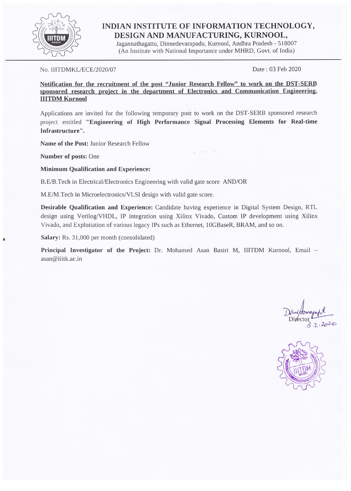

## INDIAN INSTITUTE OF INFORMATION TECHNOLOGY, DESIGN AND MANUFACTURING, KURNOOL,

Jagannathagattu, Dinnedevarapadu, Kurnool, Andhra Pradesh - 518007 (An Institute with National Importance under MHRD, Govt. of India)

### No. IIITDMKL/ECE/2020/07

Date: 03 Feb 2020

Notification for the recruitment of the post "Junior Research Fellow" to work on the DST-SERB sponsored research project in the department of Electronics and Communication Engineering, **IIITDM Kurnool** 

Applications are invited for the following temporary post to work on the DST-SERB sponsored research project entitled "Engineering of High Performance Signal Processing Elements for Real-time Infrastructure".

Name of the Post: Junior Research Fellow

Number of posts: One

**Minimum Qualification and Experience:** 

B.E/B.Tech in Electrical/Electronics Engineering with valid gate score AND/OR

M.E/M.Tech in Microelectronics/VLSI design with valid gate score.

Desirable Qualification and Experience: Candidate having experience in Digital System Design, RTL design using Verilog/VHDL, IP integration using Xilinx Vivado, Custom IP development using Xilinx Vivado, and Exploitation of various legacy IPs such as Ethernet, 10GBaseR, BRAM, and so on.

Salary: Rs. 31,000 per month (consolidated)

Principal Investigator of the Project: Dr. Mohamed Asan Basiri M, IIITDM Kurnool, Email asan@iiitk.ac.in

 $7.202c$ 

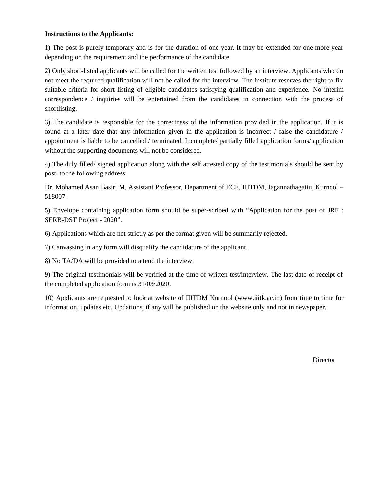### **Instructions to the Applicants:**

1) The post is purely temporary and is for the duration of one year. It may be extended for one more year depending on the requirement and the performance of the candidate.

2) Only short-listed applicants will be called for the written test followed by an interview. Applicants who do not meet the required qualification will not be called for the interview. The institute reserves the right to fix suitable criteria for short listing of eligible candidates satisfying qualification and experience. No interim correspondence / inquiries will be entertained from the candidates in connection with the process of shortlisting.

3) The candidate is responsible for the correctness of the information provided in the application. If it is found at a later date that any information given in the application is incorrect / false the candidature / appointment is liable to be cancelled / terminated. Incomplete/ partially filled application forms/ application without the supporting documents will not be considered.

4) The duly filled/ signed application along with the self attested copy of the testimonials should be sent by [po](mailto:asan@iiitk.ac.in)st to the following address.

Dr. Mohamed Asan Basiri M, Assistant Professor, Department of ECE, IIITDM, Jagannathagattu, Kurnool – 518007.

5) Envelope containing application form should be super-scribed with "Application for the post of JRF : SERB-DST Project - 2020".

6) Applications which are not strictly as per the format given will be summarily rejected.

7) Canvassing in any form will disqualify the candidature of the applicant.

8) No TA/DA will be provided to attend the interview.

9) The original testimonials will be verified at the time of written test/interview. The last date of receipt of the completed application form is 31/03/2020.

10) Applicants are requested to look at website of IIITDM Kurnool [\(www.iiitk.ac.in\)](http://www.iiitk.ac.in/) from time to time for information, updates etc. Updations, if any will be published on the website only and not in newspaper.

**Director**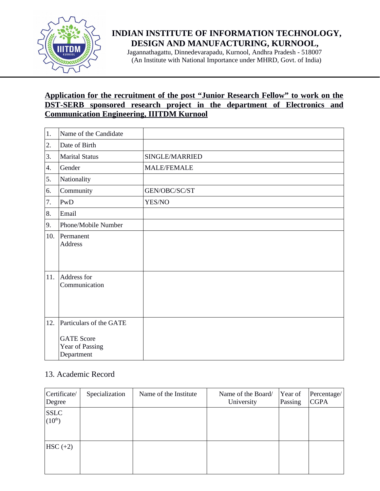

# **INDIAN INSTITUTE OF INFORMATION TECHNOLOGY, DESIGN AND MANUFACTURING, KURNOOL,**

 Jagannathagattu, Dinnedevarapadu, Kurnool, Andhra Pradesh - 518007 (An Institute with National Importance under MHRD, Govt. of India)

## **Application for the recruitment of the post "Junior Research Fellow" to work on the DST-SERB sponsored research project in the department of Electronics and Communication Engineering, IIITDM Kurnool**

| 1.  | Name of the Candidate                              |                    |
|-----|----------------------------------------------------|--------------------|
| 2.  | Date of Birth                                      |                    |
| 3.  | <b>Marital Status</b>                              | SINGLE/MARRIED     |
| 4.  | Gender                                             | <b>MALE/FEMALE</b> |
| 5.  | Nationality                                        |                    |
| 6.  | Community                                          | GEN/OBC/SC/ST      |
| 7.  | PwD                                                | YES/NO             |
| 8.  | Email                                              |                    |
| 9.  | Phone/Mobile Number                                |                    |
| 10. | Permanent<br><b>Address</b>                        |                    |
| 11. | Address for<br>Communication                       |                    |
| 12. | Particulars of the GATE                            |                    |
|     | <b>GATE Score</b><br>Year of Passing<br>Department |                    |

### 13. Academic Record

| Certificate/<br>Degree     | Specialization | Name of the Institute | Name of the Board/<br>University | Year of<br>Passing | Percentage/<br><b>CGPA</b> |
|----------------------------|----------------|-----------------------|----------------------------------|--------------------|----------------------------|
| <b>SSLC</b><br>$(10^{th})$ |                |                       |                                  |                    |                            |
| $HSC (+2)$                 |                |                       |                                  |                    |                            |